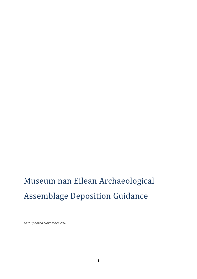# Museum nan Eilean Archaeological Assemblage Deposition Guidance

*Last updated November 2018*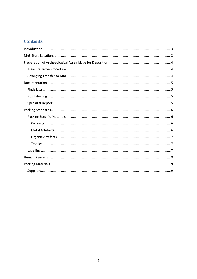# **Contents**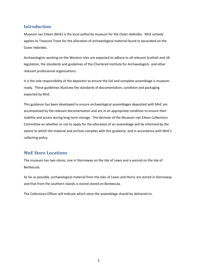## <span id="page-2-0"></span>**Introduction**

Museum nan Eilean (MnE) is the local authority museum for the Outer Hebrides. MnE actively applies to Treasure Trove for the allocation of archaeological material found or excavated on the Outer Hebrides.

Archaeologists working on the Western Isles are expected to adhere to all relevant Scottish and UK legislation, the standards and guidelines of the Chartered Institute for Archaeologists and other relevant professional organisations.

It is the sole responsibility of the depositor to ensure the full and complete assemblage is museumready. These guidelines illustrate the standards of documentation, condition and packaging expected by MnE.

This guidance has been developed to ensure archaeological assemblages deposited with MnE are accompanied by the relevant documentation and are in an appropriate condition to ensure their stability and access during long-term storage. The decision of the Museum nan Eilean Collections Committee on whether or not to apply for the allocation of an assemblage will be informed by the extent to which the material and archive complies with this guidance, and in accordance with MnE's collecting policy.

#### <span id="page-2-1"></span>**MnE Store Locations**

The museum has two stores, one in Stornoway on the Isle of Lewis and a second on the Isle of Benbecula.

As far as possible, archaeological material from the Isles of Lewis and Harris are stored in Stornoway and that from the southern islands is stored stored on Benbecula.

The Collections Officer will indicate which store the assemblage should be delivered to.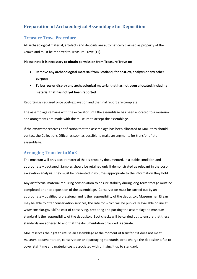# <span id="page-3-0"></span>**Preparation of Archaeological Assemblage for Deposition**

## <span id="page-3-1"></span>**Treasure Trove Procedure**

All archaeological material, artefacts and deposits are automatically claimed as property of the Crown and must be reported to Treasure Trove (TT).

**Please note it is necessary to obtain permission from Treasure Trove to:** 

- **Remove any archaeological material from Scotland, for post-ex, analysis or any other purpose**
- **To borrow or display any archaeological material that has not been allocated, including material that has not yet been reported**

Reporting is required once post-excavation and the final report are complete.

The assemblage remains with the excavator until the assemblage has been allocated to a museum and arangments are made with the museum to accept the assemblage.

If the excavator receives notification that the assemblage has been allocated to MnE, they should contact the Collections Officer as soon as possible to make arrangments for transfer of the assemblage.

#### <span id="page-3-2"></span>**Arranging Transfer to MnE**

The museum will only accept material that is properly documented, in a stable condition and appropriately packaged. Samples should be retained only if demonstrated as relevant in the postexcavation analysis. They must be presented in volumes appropriate to the information they hold.

Any artefactual material requiring conservation to ensure stability during long-term storage must be completed prior to deposition of the assemblage. Conservation must be carried out by an appropriately qualified professional and is the responsibility of the depositor. Museum nan Eilean may be able to offer conservation services, the rate for which will be publically available online at www.cne-siar.gov.ukThe cost of conserving, preparing and packing the assemblage to museum standard is the responsibility of the depositor. Spot checks will be carried out to ensure that these standards are adhered to and that the documentation provided is acurate.

MnE reserves the right to refuse an assemblage at the moment of transfer if it does not meet museum documentation, conservation and packaging standards, or to charge the depositor a fee to cover staff time and material costs associated with bringing it up to standard.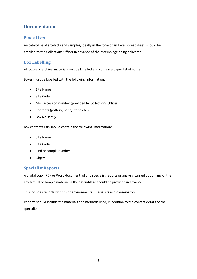# <span id="page-4-0"></span>**Documentation**

#### <span id="page-4-1"></span>**Finds Lists**

An catalogue of artefacts and samples, ideally in the form of an Excel spreadsheet, should be emailed to the Collections Officer in advance of the assemblage being delivered.

## <span id="page-4-2"></span>**Box Labelling**

All boxes of archival material must be labelled and contain a paper list of contents.

Boxes must be labelled with the following information:

- Site Name
- Site Code
- MnE accession number (provided by Collections Officer)
- Contents (pottery, bone, stone etc.)
- Box No. *x* of *y*

Box contents lists should contain the following information:

- Site Name
- Site Code
- Find or sample number
- Object

#### <span id="page-4-3"></span>**Specialist Reports**

A digital copy, PDF or Word document, of any specialist reports or analysis carried out on any of the artefactual or sample material in the assemblage should be provided in advance.

This includes reports by finds or environmental specialists and conservators.

Reports should include the materials and methods used, in addition to the contact details of the specialist.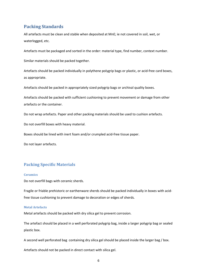## <span id="page-5-0"></span>**Packing Standards**

All artefacts must be clean and stable when deposited at MnE; ie not covered in soil, wet, or waterlogged, etc.

Artefacts must be packaged and sorted in the order: material type, find number, context number.

Similar materials should be packed together.

Artefacts should be packed individually in polythene polygrip bags or plastic, or acid-free card boxes, as appropriate.

Artefacts should be packed in appropriately sized polygrip bags or archival quality boxes.

Artefacts should be packed with sufficient cushioning to prevent movement or damage from other artefacts or the container.

Do not wrap artefacts. Paper and other packing materials should be used to cushion artefacts.

Do not overfill boxes with heavy material.

Boxes should be lined with inert foam and/or crumpled acid-free tissue paper.

Do not layer artefacts.

#### <span id="page-5-1"></span>**Packing Specific Materials**

#### <span id="page-5-2"></span>**Ceramics**

Do not overfill bags with ceramic sherds.

Fragile or friable prehistoric or earthenware sherds should be packed individually in boxes with acidfree tissue cushioning to prevent damage to decoration or edges of sherds.

#### <span id="page-5-3"></span>**Metal Artefacts**

Metal artefacts should be packed with dry silica gel to prevent corrosion.

The artefact should be placed in a well perforated polygrip bag, inside a larger polygrip bag or sealed plastic box.

A second well perforated bag containing dry silica gel should be placed inside the larger bag / box.

Artefacts should not be packed in direct contact with silica gel.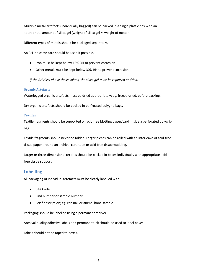Multiple metal artefacts (individually bagged) can be packed in a single plastic box with an appropriate amount of silica gel (weight of silica gel = weight of metal).

Different types of metals should be packaged separately.

An RH Indicator card should be used if possible.

- Iron must be kept below 12% RH to prevent corrosion
- Other metals must be kept below 30% RH to prevent corrosion

*If the RH rises above these values, the silica gel must be replaced or dried.*

#### <span id="page-6-0"></span>**Organic Artefacts**

Waterlogged organic artefacts must be dried appropriately; eg. freeze-dried, before packing.

Dry organic artefacts should be packed in perfroated polygrip bags.

#### <span id="page-6-1"></span>**Textiles**

Textile fragments should be supported on acid free blotting paper/card inside a perforated polygrip bag.

Textile fragments should never be folded. Larger pieces can be rolled with an interleave of acid-free tissue paper around an archival card tube or acid-free tissue wadding.

Larger or three-dimensional textiles should be packed in boxes individually with appropriate acidfree tissue support.

#### <span id="page-6-2"></span>**Labelling**

All packaging of individual artefacts must be clearly labelled with:

- Site Code
- Find number or sample number
- Brief description; eg.iron nail or animal bone sample

Packaging should be labelled using a permanent marker.

Archival quality adhesive labels and permanent ink should be used to label boxes.

Labels should not be taped to boxes.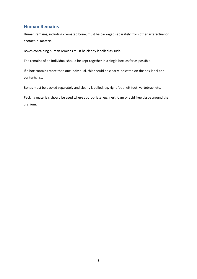## <span id="page-7-0"></span>**Human Remains**

Human remains, including cremated bone, must be packaged separately from other artefactual or ecofactual material.

Boxes containing human remians must be clearly labelled as such.

The remains of an individual should be kept together in a single box, as far as possible.

If a box contains more than one individual, this should be clearly indicated on the box label and contents list.

Bones must be packed separately and clearly labelled; eg. right foot, left foot, vertebrae, etc.

Packing materials should be used where appropriate; eg. inert foam or acid free tissue around the cranium.